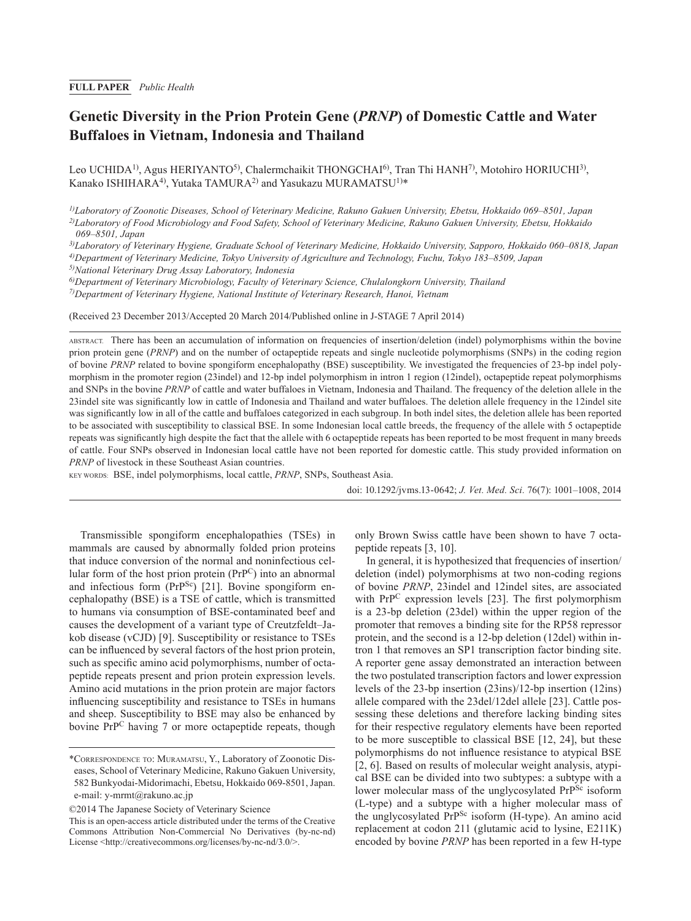# **Genetic Diversity in the Prion Protein Gene (***PRNP***) of Domestic Cattle and Water Buffaloes in Vietnam, Indonesia and Thailand**

Leo UCHIDA<sup>1)</sup>, Agus HERIYANTO<sup>5)</sup>, Chalermchaikit THONGCHAI<sup>6</sup>), Tran Thi HANH<sup>7</sup>), Motohiro HORIUCHI<sup>3)</sup>, Kanako ISHIHARA<sup>4)</sup>, Yutaka TAMURA<sup>2)</sup> and Yasukazu MURAMATSU<sup>1)\*</sup>

*1)Laboratory of Zoonotic Diseases, School of Veterinary Medicine, Rakuno Gakuen University, Ebetsu, Hokkaido 069–8501, Japan 2)Laboratory of Food Microbiology and Food Safety, School of Veterinary Medicine, Rakuno Gakuen University, Ebetsu, Hokkaido* 

*069–8501, Japan*

*3)Laboratory of Veterinary Hygiene, Graduate School of Veterinary Medicine, Hokkaido University, Sapporo, Hokkaido 060–0818, Japan 4)Department of Veterinary Medicine, Tokyo University of Agriculture and Technology, Fuchu, Tokyo 183–8509, Japan*

*5)National Veterinary Drug Assay Laboratory, Indonesia*

*6)Department of Veterinary Microbiology, Faculty of Veterinary Science, Chulalongkorn University, Thailand*

*7)Department of Veterinary Hygiene, National Institute of Veterinary Research, Hanoi, Vietnam*

(Received 23 December 2013/Accepted 20 March 2014/Published online in J-STAGE 7 April 2014)

ABSTRACT. There has been an accumulation of information on frequencies of insertion/deletion (indel) polymorphisms within the bovine prion protein gene (*PRNP*) and on the number of octapeptide repeats and single nucleotide polymorphisms (SNPs) in the coding region of bovine *PRNP* related to bovine spongiform encephalopathy (BSE) susceptibility. We investigated the frequencies of 23-bp indel polymorphism in the promoter region (23indel) and 12-bp indel polymorphism in intron 1 region (12indel), octapeptide repeat polymorphisms and SNPs in the bovine *PRNP* of cattle and water buffaloes in Vietnam, Indonesia and Thailand. The frequency of the deletion allele in the 23indel site was significantly low in cattle of Indonesia and Thailand and water buffaloes. The deletion allele frequency in the 12indel site was significantly low in all of the cattle and buffaloes categorized in each subgroup. In both indel sites, the deletion allele has been reported to be associated with susceptibility to classical BSE. In some Indonesian local cattle breeds, the frequency of the allele with 5 octapeptide repeats was significantly high despite the fact that the allele with 6 octapeptide repeats has been reported to be most frequent in many breeds of cattle. Four SNPs observed in Indonesian local cattle have not been reported for domestic cattle. This study provided information on *PRNP* of livestock in these Southeast Asian countries.

KEY WORDS: BSE, indel polymorphisms, local cattle, *PRNP*, SNPs, Southeast Asia.

doi: 10.1292/jvms.13-0642; *J. Vet. Med. Sci.* 76(7): 1001–1008, 2014

Transmissible spongiform encephalopathies (TSEs) in mammals are caused by abnormally folded prion proteins that induce conversion of the normal and noninfectious cellular form of the host prion protein (PrPC) into an abnormal and infectious form (PrP<sup>Sc</sup>) [21]. Bovine spongiform encephalopathy (BSE) is a TSE of cattle, which is transmitted to humans via consumption of BSE-contaminated beef and causes the development of a variant type of Creutzfeldt–Jakob disease (vCJD) [9]. Susceptibility or resistance to TSEs can be influenced by several factors of the host prion protein, such as specific amino acid polymorphisms, number of octapeptide repeats present and prion protein expression levels. Amino acid mutations in the prion protein are major factors influencing susceptibility and resistance to TSEs in humans and sheep. Susceptibility to BSE may also be enhanced by bovine PrPC having 7 or more octapeptide repeats, though

©2014 The Japanese Society of Veterinary Science

only Brown Swiss cattle have been shown to have 7 octapeptide repeats [3, 10].

In general, it is hypothesized that frequencies of insertion/ deletion (indel) polymorphisms at two non-coding regions of bovine *PRNP*, 23indel and 12indel sites, are associated with PrP<sup>C</sup> expression levels [23]. The first polymorphism is a 23-bp deletion (23del) within the upper region of the promoter that removes a binding site for the RP58 repressor protein, and the second is a 12-bp deletion (12del) within intron 1 that removes an SP1 transcription factor binding site. A reporter gene assay demonstrated an interaction between the two postulated transcription factors and lower expression levels of the 23-bp insertion (23ins)/12-bp insertion (12ins) allele compared with the 23del/12del allele [23]. Cattle possessing these deletions and therefore lacking binding sites for their respective regulatory elements have been reported to be more susceptible to classical BSE [12, 24], but these polymorphisms do not influence resistance to atypical BSE [2, 6]. Based on results of molecular weight analysis, atypical BSE can be divided into two subtypes: a subtype with a lower molecular mass of the unglycosylated PrP<sup>Sc</sup> isoform (L-type) and a subtype with a higher molecular mass of the unglycosylated PrPSc isoform (H-type). An amino acid replacement at codon 211 (glutamic acid to lysine, E211K) encoded by bovine *PRNP* has been reported in a few H-type

<sup>\*</sup>Correspondence to: Muramatsu, Y., Laboratory of Zoonotic Diseases, School of Veterinary Medicine, Rakuno Gakuen University, 582 Bunkyodai-Midorimachi, Ebetsu, Hokkaido 069-8501, Japan. e-mail: y-mrmt@rakuno.ac.jp

This is an open-access article distributed under the terms of the Creative Commons Attribution Non-Commercial No Derivatives (by-nc-nd) License <http://creativecommons.org/licenses/by-nc-nd/3.0/>.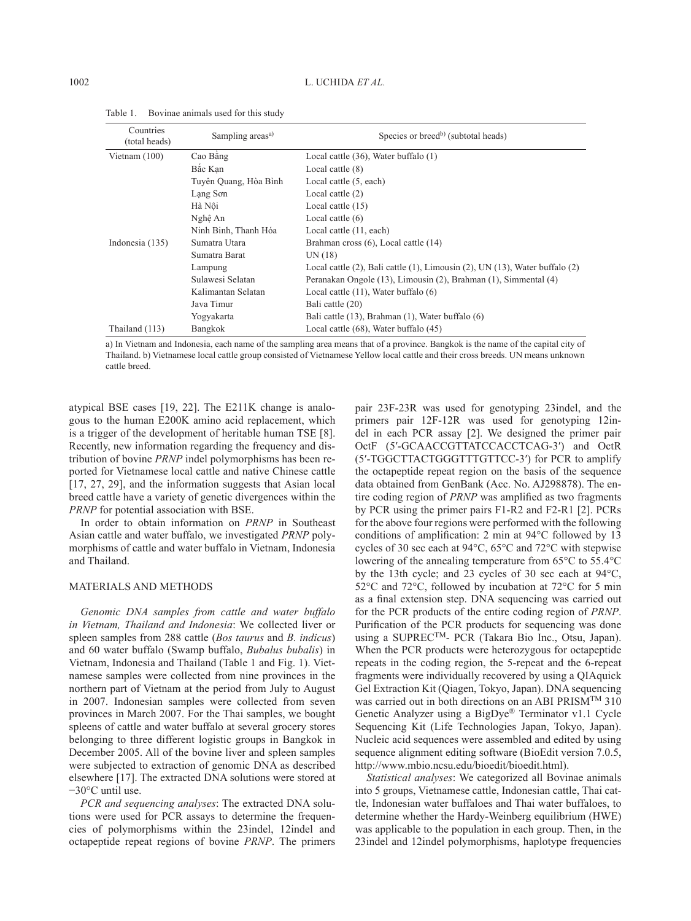| Countries<br>(total heads) | Sampling areas <sup>a)</sup> | Species or breed <sup>b</sup> ) (subtotal heads)                            |  |  |  |  |  |  |
|----------------------------|------------------------------|-----------------------------------------------------------------------------|--|--|--|--|--|--|
| Vietnam $(100)$            | Cao Bằng                     | Local cattle (36), Water buffalo (1)                                        |  |  |  |  |  |  |
|                            | Bắc Kan                      | Local cattle $(8)$                                                          |  |  |  |  |  |  |
|                            | Tuyên Quang, Hòa Bình        | Local cattle (5, each)                                                      |  |  |  |  |  |  |
|                            | Lang Son                     | Local cattle $(2)$                                                          |  |  |  |  |  |  |
|                            | Hà Nôi                       | Local cattle $(15)$                                                         |  |  |  |  |  |  |
|                            | Nghệ An                      | Local cattle $(6)$                                                          |  |  |  |  |  |  |
|                            | Ninh Binh, Thanh Hóa         | Local cattle (11, each)                                                     |  |  |  |  |  |  |
| Indonesia (135)            | Sumatra Utara                | Brahman cross (6), Local cattle (14)                                        |  |  |  |  |  |  |
|                            | Sumatra Barat                | UN(18)                                                                      |  |  |  |  |  |  |
|                            | Lampung                      | Local cattle (2), Bali cattle (1), Limousin (2), UN (13), Water buffalo (2) |  |  |  |  |  |  |
|                            | Sulawesi Selatan             | Peranakan Ongole (13), Limousin (2), Brahman (1), Simmental (4)             |  |  |  |  |  |  |
|                            | Kalimantan Selatan           | Local cattle $(11)$ , Water buffalo $(6)$                                   |  |  |  |  |  |  |
|                            | Java Timur                   | Bali cattle (20)                                                            |  |  |  |  |  |  |
|                            | Yogyakarta                   | Bali cattle (13), Brahman (1), Water buffalo (6)                            |  |  |  |  |  |  |
| Thailand (113)             | Bangkok                      | Local cattle (68), Water buffalo (45)                                       |  |  |  |  |  |  |

Table 1. Bovinae animals used for this study

a) In Vietnam and Indonesia, each name of the sampling area means that of a province. Bangkok is the name of the capital city of Thailand. b) Vietnamese local cattle group consisted of Vietnamese Yellow local cattle and their cross breeds. UN means unknown cattle breed.

atypical BSE cases [19, 22]. The E211K change is analogous to the human E200K amino acid replacement, which is a trigger of the development of heritable human TSE [8]. Recently, new information regarding the frequency and distribution of bovine *PRNP* indel polymorphisms has been reported for Vietnamese local cattle and native Chinese cattle [17, 27, 29], and the information suggests that Asian local breed cattle have a variety of genetic divergences within the *PRNP* for potential association with BSE.

In order to obtain information on *PRNP* in Southeast Asian cattle and water buffalo, we investigated *PRNP* polymorphisms of cattle and water buffalo in Vietnam, Indonesia and Thailand.

## MATERIALS AND METHODS

*Genomic DNA samples from cattle and water buffalo in Vietnam, Thailand and Indonesia*: We collected liver or spleen samples from 288 cattle (*Bos taurus* and *B. indicus*) and 60 water buffalo (Swamp buffalo, *Bubalus bubalis*) in Vietnam, Indonesia and Thailand (Table 1 and Fig. 1). Vietnamese samples were collected from nine provinces in the northern part of Vietnam at the period from July to August in 2007. Indonesian samples were collected from seven provinces in March 2007. For the Thai samples, we bought spleens of cattle and water buffalo at several grocery stores belonging to three different logistic groups in Bangkok in December 2005. All of the bovine liver and spleen samples were subjected to extraction of genomic DNA as described elsewhere [17]. The extracted DNA solutions were stored at −30°C until use.

*PCR and sequencing analyses*: The extracted DNA solutions were used for PCR assays to determine the frequencies of polymorphisms within the 23indel, 12indel and octapeptide repeat regions of bovine *PRNP*. The primers

pair 23F-23R was used for genotyping 23indel, and the primers pair 12F-12R was used for genotyping 12indel in each PCR assay [2]. We designed the primer pair OctF (5′-GCAACCGTTATCCACCTCAG-3′) and OctR (5′-TGGCTTACTGGGTTTGTTCC-3′) for PCR to amplify the octapeptide repeat region on the basis of the sequence data obtained from GenBank (Acc. No. AJ298878). The entire coding region of *PRNP* was amplified as two fragments by PCR using the primer pairs F1-R2 and F2-R1 [2]. PCRs for the above four regions were performed with the following conditions of amplification: 2 min at 94°C followed by 13 cycles of 30 sec each at 94°C, 65°C and 72°C with stepwise lowering of the annealing temperature from 65°C to 55.4°C by the 13th cycle; and 23 cycles of 30 sec each at 94°C, 52°C and 72°C, followed by incubation at 72°C for 5 min as a final extension step. DNA sequencing was carried out for the PCR products of the entire coding region of *PRNP*. Purification of the PCR products for sequencing was done using a SUPRECTM- PCR (Takara Bio Inc., Otsu, Japan). When the PCR products were heterozygous for octapeptide repeats in the coding region, the 5-repeat and the 6-repeat fragments were individually recovered by using a QIAquick Gel Extraction Kit (Qiagen, Tokyo, Japan). DNA sequencing was carried out in both directions on an ABI PRISMTM 310 Genetic Analyzer using a BigDye® Terminator v1.1 Cycle Sequencing Kit (Life Technologies Japan, Tokyo, Japan). Nucleic acid sequences were assembled and edited by using sequence alignment editing software (BioEdit version 7.0.5, http://www.mbio.ncsu.edu/bioedit/bioedit.html).

*Statistical analyses*: We categorized all Bovinae animals into 5 groups, Vietnamese cattle, Indonesian cattle, Thai cattle, Indonesian water buffaloes and Thai water buffaloes, to determine whether the Hardy-Weinberg equilibrium (HWE) was applicable to the population in each group. Then, in the 23indel and 12indel polymorphisms, haplotype frequencies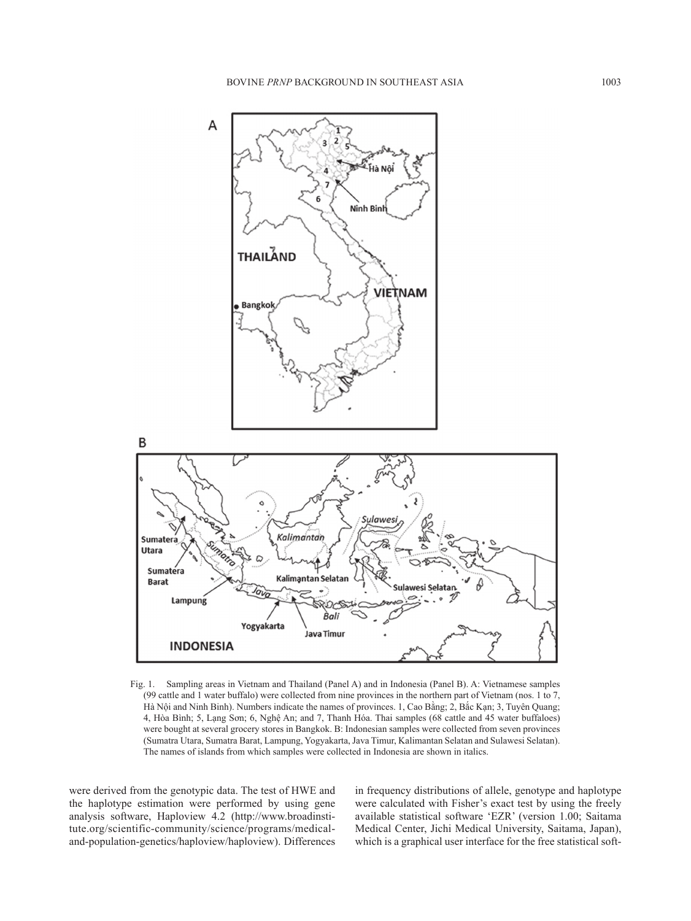

Fig. 1. Sampling areas in Vietnam and Thailand (Panel A) and in Indonesia (Panel B). A: Vietnamese samples (99 cattle and 1 water buffalo) were collected from nine provinces in the northern part of Vietnam (nos. 1 to 7, Hà Nội and Ninh Binh). Numbers indicate the names of provinces. 1, Cao Bằng; 2, Bắc Kạn; 3, Tuyên Quang; 4, Hòa Bình; 5, Lạng Sơn; 6, Nghệ An; and 7, Thanh Hóa. Thai samples (68 cattle and 45 water buffaloes) were bought at several grocery stores in Bangkok. B: Indonesian samples were collected from seven provinces (Sumatra Utara, Sumatra Barat, Lampung, Yogyakarta, Java Timur, Kalimantan Selatan and Sulawesi Selatan). The names of islands from which samples were collected in Indonesia are shown in italics.

were derived from the genotypic data. The test of HWE and the haplotype estimation were performed by using gene analysis software, Haploview 4.2 (http://www.broadinstitute.org/scientific-community/science/programs/medicaland-population-genetics/haploview/haploview). Differences in frequency distributions of allele, genotype and haplotype were calculated with Fisher's exact test by using the freely available statistical software 'EZR' (version 1.00; Saitama Medical Center, Jichi Medical University, Saitama, Japan), which is a graphical user interface for the free statistical soft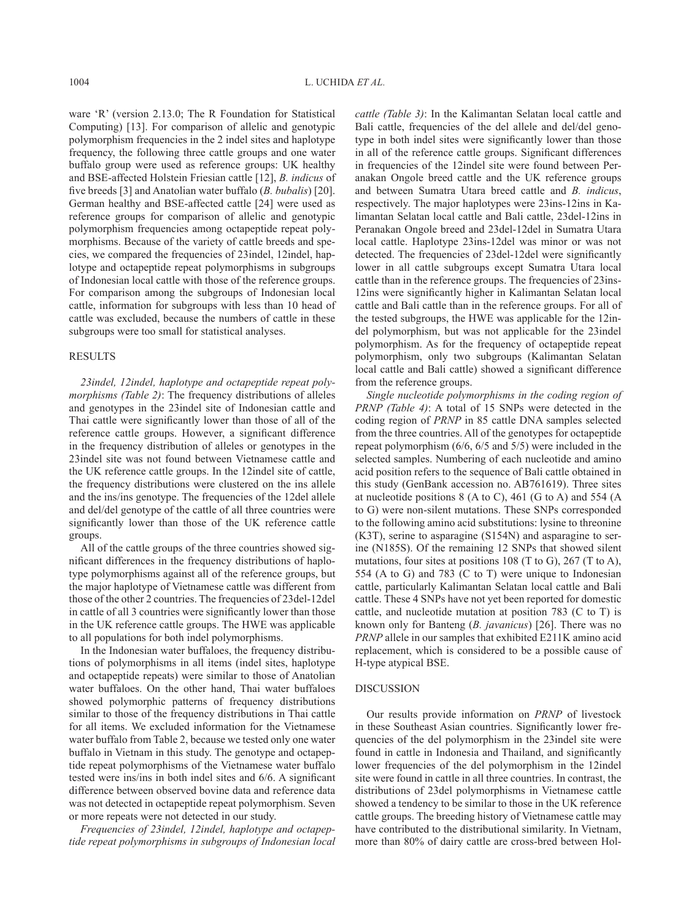ware 'R' (version 2.13.0; The R Foundation for Statistical Computing) [13]. For comparison of allelic and genotypic polymorphism frequencies in the 2 indel sites and haplotype frequency, the following three cattle groups and one water buffalo group were used as reference groups: UK healthy and BSE-affected Holstein Friesian cattle [12], *B. indicus* of five breeds [3] and Anatolian water buffalo (*B. bubalis*) [20]. German healthy and BSE-affected cattle [24] were used as reference groups for comparison of allelic and genotypic polymorphism frequencies among octapeptide repeat polymorphisms. Because of the variety of cattle breeds and species, we compared the frequencies of 23indel, 12indel, haplotype and octapeptide repeat polymorphisms in subgroups of Indonesian local cattle with those of the reference groups. For comparison among the subgroups of Indonesian local cattle, information for subgroups with less than 10 head of cattle was excluded, because the numbers of cattle in these subgroups were too small for statistical analyses.

#### **RESULTS**

*23indel, 12indel, haplotype and octapeptide repeat polymorphisms (Table 2)*: The frequency distributions of alleles and genotypes in the 23indel site of Indonesian cattle and Thai cattle were significantly lower than those of all of the reference cattle groups. However, a significant difference in the frequency distribution of alleles or genotypes in the 23indel site was not found between Vietnamese cattle and the UK reference cattle groups. In the 12indel site of cattle, the frequency distributions were clustered on the ins allele and the ins/ins genotype. The frequencies of the 12del allele and del/del genotype of the cattle of all three countries were significantly lower than those of the UK reference cattle groups.

All of the cattle groups of the three countries showed significant differences in the frequency distributions of haplotype polymorphisms against all of the reference groups, but the major haplotype of Vietnamese cattle was different from those of the other 2 countries. The frequencies of 23del-12del in cattle of all 3 countries were significantly lower than those in the UK reference cattle groups. The HWE was applicable to all populations for both indel polymorphisms.

In the Indonesian water buffaloes, the frequency distributions of polymorphisms in all items (indel sites, haplotype and octapeptide repeats) were similar to those of Anatolian water buffaloes. On the other hand, Thai water buffaloes showed polymorphic patterns of frequency distributions similar to those of the frequency distributions in Thai cattle for all items. We excluded information for the Vietnamese water buffalo from Table 2, because we tested only one water buffalo in Vietnam in this study. The genotype and octapeptide repeat polymorphisms of the Vietnamese water buffalo tested were ins/ins in both indel sites and 6/6. A significant difference between observed bovine data and reference data was not detected in octapeptide repeat polymorphism. Seven or more repeats were not detected in our study.

*Frequencies of 23indel, 12indel, haplotype and octapeptide repeat polymorphisms in subgroups of Indonesian local*  *cattle (Table 3)*: In the Kalimantan Selatan local cattle and Bali cattle, frequencies of the del allele and del/del genotype in both indel sites were significantly lower than those in all of the reference cattle groups. Significant differences in frequencies of the 12indel site were found between Peranakan Ongole breed cattle and the UK reference groups and between Sumatra Utara breed cattle and *B. indicus*, respectively. The major haplotypes were 23ins-12ins in Kalimantan Selatan local cattle and Bali cattle, 23del-12ins in Peranakan Ongole breed and 23del-12del in Sumatra Utara local cattle. Haplotype 23ins-12del was minor or was not detected. The frequencies of 23del-12del were significantly lower in all cattle subgroups except Sumatra Utara local cattle than in the reference groups. The frequencies of 23ins-12ins were significantly higher in Kalimantan Selatan local cattle and Bali cattle than in the reference groups. For all of the tested subgroups, the HWE was applicable for the 12indel polymorphism, but was not applicable for the 23indel polymorphism. As for the frequency of octapeptide repeat polymorphism, only two subgroups (Kalimantan Selatan local cattle and Bali cattle) showed a significant difference from the reference groups.

*Single nucleotide polymorphisms in the coding region of PRNP (Table 4)*: A total of 15 SNPs were detected in the coding region of *PRNP* in 85 cattle DNA samples selected from the three countries. All of the genotypes for octapeptide repeat polymorphism (6/6, 6/5 and 5/5) were included in the selected samples. Numbering of each nucleotide and amino acid position refers to the sequence of Bali cattle obtained in this study (GenBank accession no. AB761619). Three sites at nucleotide positions 8 (A to C), 461 (G to A) and 554 (A to G) were non-silent mutations. These SNPs corresponded to the following amino acid substitutions: lysine to threonine (K3T), serine to asparagine (S154N) and asparagine to serine (N185S). Of the remaining 12 SNPs that showed silent mutations, four sites at positions 108 (T to G), 267 (T to A), 554 (A to G) and 783 (C to T) were unique to Indonesian cattle, particularly Kalimantan Selatan local cattle and Bali cattle. These 4 SNPs have not yet been reported for domestic cattle, and nucleotide mutation at position 783 (C to T) is known only for Banteng (*B. javanicus*) [26]. There was no *PRNP* allele in our samples that exhibited E211K amino acid replacement, which is considered to be a possible cause of H-type atypical BSE.

## DISCUSSION

Our results provide information on *PRNP* of livestock in these Southeast Asian countries. Significantly lower frequencies of the del polymorphism in the 23indel site were found in cattle in Indonesia and Thailand, and significantly lower frequencies of the del polymorphism in the 12indel site were found in cattle in all three countries. In contrast, the distributions of 23del polymorphisms in Vietnamese cattle showed a tendency to be similar to those in the UK reference cattle groups. The breeding history of Vietnamese cattle may have contributed to the distributional similarity. In Vietnam, more than 80% of dairy cattle are cross-bred between Hol-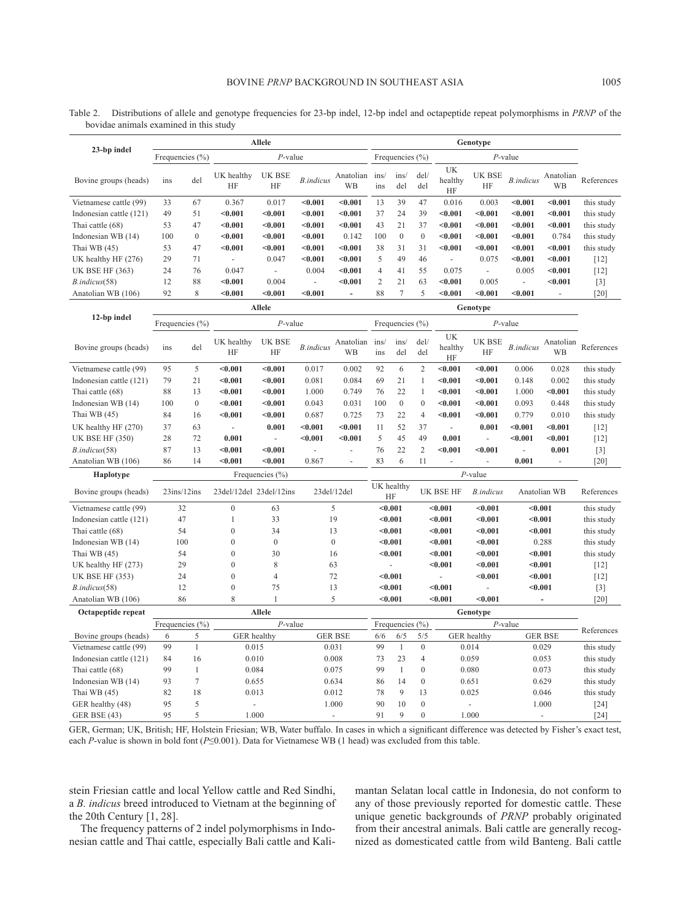|                         | Allele              |                  |                         |                     |                   |                        | Genotype                                           |                     |                  |                          |                     |                   |                 |                   |
|-------------------------|---------------------|------------------|-------------------------|---------------------|-------------------|------------------------|----------------------------------------------------|---------------------|------------------|--------------------------|---------------------|-------------------|-----------------|-------------------|
| 23-bp indel             | Frequencies (%)     |                  |                         | $P$ -value          |                   |                        |                                                    | Frequencies $(\% )$ |                  |                          | $P$ -value          |                   |                 |                   |
| Bovine groups (heads)   | ins                 | del              | UK healthy<br><b>HF</b> | UK BSE<br>HF        | <b>B.</b> indicus | Anatolian<br><b>WB</b> | ins/<br>ins                                        | ins/<br>del         | del/<br>del      | UK<br>healthy<br>HF      | <b>UK BSE</b><br>HF | <b>B.indicus</b>  | Anatolian<br>WB | References        |
| Vietnamese cattle (99)  | 33                  | 67               | 0.367                   | 0.017               | < 0.001           | < 0.001                | 13                                                 | 39                  | 47               | 0.016                    | 0.003               | < 0.001           | $0.001$         | this study        |
| Indonesian cattle (121) | 49                  | 51               | < 0.001                 | < 0.001             | $0.001$           | < 0.001                | 37                                                 | 24                  | 39               | < 0.001                  | $0.001$             | < 0.001           | < 0.001         | this study        |
| Thai cattle (68)        | 53                  | 47               | < 0.001                 | $0.001$             | $0.001$           | $0.001$                | 43                                                 | 21                  | 37               | $0.001$                  | $0.001$             | < 0.001           | $0.001$         | this study        |
| Indonesian WB (14)      | 100                 | $\mathbf{0}$     | < 0.001                 | < 0.001             | $0.001$           | 0.142                  | 100                                                | $\boldsymbol{0}$    | $\mathbf{0}$     | < 0.001                  | $0.001$             | < 0.001           | 0.784           | this study        |
| Thai WB (45)            | 53                  | 47               | < 0.001                 | < 0.001             | $0.001$           | < 0.001                | 38                                                 | 31                  | 31               | < 0.001                  | $0.001$             | < 0.001           | $0.001$         | this study        |
| UK healthy HF (276)     | 29                  | 71               | $\bar{\phantom{a}}$     | 0.047               | $0.001$           | < 0.001                | 5                                                  | 49                  | 46               | $\sim$                   | 0.075               | < 0.001           | < 0.001         | $[12]$            |
| <b>UK BSE HF (363)</b>  | 24                  | 76               | 0.047                   | $\overline{a}$      | 0.004             | < 0.001                | 4                                                  | 41                  | 55               | 0.075                    | $\bar{\phantom{a}}$ | 0.005             | $0.001$         | $[12]$            |
| B.indicus(58)           | 12                  | 88               | < 0.001                 | 0.004               | $\overline{a}$    | $0.001$                | 2                                                  | 21                  | 63               | < 0.001                  | 0.005               | ä,                | < 0.001         | $\lceil 3 \rceil$ |
| Anatolian WB (106)      | 92                  | 8                | < 0.001                 | $0.001$             | < 0.001           | ÷.                     | 88                                                 | $\overline{7}$      | 5                | < 0.001                  | $0.001$             | < 0.001           |                 | $[20]$            |
|                         |                     |                  |                         | <b>Allele</b>       |                   |                        |                                                    |                     |                  |                          | Genotype            |                   |                 |                   |
| 12-bp indel             | Frequencies (%)     |                  |                         | $P$ -value          |                   |                        |                                                    | Frequencies $(\% )$ |                  |                          | $P$ -value          |                   |                 |                   |
| Bovine groups (heads)   | ins                 | del              | UK healthy<br>HF        | <b>UK BSE</b><br>HF | <b>B.indicus</b>  | Anatolian<br>WB        | ins/<br>ins                                        | ins/<br>del         | del/<br>del      | UK<br>healthy<br>HF      | UK BSE<br>HF        | <b>B.</b> indicus | Anatolian<br>WB | References        |
| Vietnamese cattle (99)  | 95                  | 5                | < 0.001                 | $0.001$             | 0.017             | 0.002                  | 92                                                 | 6                   | $\overline{c}$   | $0.001$                  | $0.001$             | 0.006             | 0.028           | this study        |
| Indonesian cattle (121) | 79                  | 21               | < 0.001                 | < 0.001             | 0.081             | 0.084                  | 69                                                 | 21                  | 1                | < 0.001                  | < 0.001             | 0.148             | 0.002           | this study        |
| Thai cattle (68)        | 88                  | 13               | < 0.001                 | < 0.001             | 1.000             | 0.749                  | 76                                                 | 22                  | $\mathbf{1}$     | < 0.001                  | < 0.001             | 1.000             | < 0.001         | this study        |
| Indonesian WB (14)      | 100                 | $\boldsymbol{0}$ | < 0.001                 | < 0.001             | 0.043             | 0.031                  | 100                                                | $\boldsymbol{0}$    | $\boldsymbol{0}$ | < 0.001                  | $0.001$             | 0.093             | 0.448           | this study        |
| Thai WB (45)            | 84                  | 16               | < 0.001                 | < 0.001             | 0.687             | 0.725                  | 73                                                 | 22                  | 4                | < 0.001                  | < 0.001             | 0.779             | 0.010           | this study        |
| UK healthy HF (270)     | 37                  | 63               | $\bar{\phantom{a}}$     | 0.001               | < 0.001           | < 0.001                | 11                                                 | 52                  | 37               | $\sim$                   | 0.001               | < 0.001           | < 0.001         | $[12]$            |
| <b>UK BSE HF (350)</b>  | 28                  | 72               | 0.001                   | ÷.                  | < 0.001           | < 0.001                | 5                                                  | 45                  | 49               | 0.001                    |                     | $0.001$           | < 0.001         | $[12]$            |
| B.indicus(58)           | 87                  | 13               | $0.001$                 | $0.001$             | ÷,                | ÷,                     | 76                                                 | 22                  | 2                | $0.001$                  | $0.001$             | ÷,                | 0.001           | $\lceil 3 \rceil$ |
| Anatolian WB (106)      | 86                  | 14               | < 0.001                 | < 0.001             | 0.867             | ÷,                     | 83                                                 | 6                   | 11               | $\overline{\phantom{a}}$ |                     | 0.001             | $\sim$          | [20]              |
| Haplotype               |                     |                  |                         | Frequencies $(\% )$ |                   |                        |                                                    |                     |                  |                          | $P$ -value          |                   |                 |                   |
| Bovine groups (heads)   | $23$ ins/ $12$ ins  |                  | 23del/12del 23del/12ins |                     |                   | 23del/12del            |                                                    | UK healthy<br>HF    |                  | <b>UK BSE HF</b>         | <b>B.indicus</b>    |                   | Anatolian WB    | References        |
| Vietnamese cattle (99)  | 32                  |                  | $\boldsymbol{0}$        | 63                  |                   | 5                      |                                                    | $0.001$             |                  | $0.001$                  | < 0.001             | $0.001$           |                 | this study        |
| Indonesian cattle (121) | 47                  |                  | $\mathbf{1}$            | 33                  |                   | 19                     |                                                    | < 0.001             |                  | $0.001$                  | < 0.001             | < 0.001           |                 | this study        |
| Thai cattle (68)        | 54                  |                  | $\overline{0}$          | 34                  |                   | 13                     |                                                    | < 0.001             |                  | < 0.001                  | < 0.001             | < 0.001           |                 | this study        |
| Indonesian WB (14)      | 100                 |                  | $\boldsymbol{0}$        | $\mathbf{0}$        |                   | $\boldsymbol{0}$       |                                                    | $0.001$             |                  | $0.001$                  | $0.001$             |                   | 0.288           | this study        |
| Thai WB (45)            | 54                  |                  | $\mathbf{0}$            | 30                  |                   | 16                     | < 0.001                                            |                     |                  | $0.001$                  | < 0.001             | $0.001$           |                 | this study        |
| UK healthy HF (273)     | 29                  |                  | $\overline{0}$          | 8                   |                   | 63                     |                                                    |                     |                  | < 0.001                  | < 0.001             | < 0.001           |                 | $[12]$            |
| UK BSE HF (353)         | 24                  |                  | $\overline{0}$          | $\overline{4}$      |                   | 72                     | < 0.001                                            |                     |                  |                          | < 0.001             | < 0.001           |                 | $[12]$            |
| B.indicus(58)           | 12                  |                  | $\overline{0}$          | 75                  |                   | 13                     |                                                    | < 0.001             |                  | < 0.001                  |                     | $0.001$           |                 | $[3]$             |
| Anatolian WB (106)      | 86                  |                  | 8                       | $\mathbf{1}$        |                   | 5                      |                                                    | $0.001$             |                  | < 0.001                  | < 0.001             |                   |                 | [20]              |
| Octapeptide repeat      |                     |                  |                         | <b>Allele</b>       |                   |                        |                                                    |                     |                  |                          | Genotype            |                   |                 |                   |
|                         | Frequencies $(\% )$ |                  |                         | $P$ -value          |                   |                        |                                                    | Frequencies $(\% )$ |                  |                          |                     | $P$ -value        |                 | References        |
| Bovine groups (heads)   | 6                   | 5                | <b>GER</b> healthy      |                     |                   | <b>GER BSE</b>         | 6/5<br>5/5<br>GER healthy<br><b>GER BSE</b><br>6/6 |                     |                  |                          |                     |                   |                 |                   |

Table 2. Distributions of allele and genotype frequencies for 23-bp indel, 12-bp indel and octapeptide repeat polymorphisms in *PRNP* of the bovidae animals examined in this study

GER BSE (43) 95 5 1.000 - 91 9 0 1.000 - [24] GER, German; UK, British; HF, Holstein Friesian; WB, Water buffalo. In cases in which a significant difference was detected by Fisher's exact test, each *P*-value is shown in bold font (*P*≤0.001). Data for Vietnamese WB (1 head) was excluded from this table.

Vietnamese cattle (99) 99 1 0.015 0.031 99 1 0 0.014 0.029 this study Indonesian cattle (121) 84 16 0.010 0.008 73 23 4 0.059 0.053 this study Thai cattle (68) 99 1 0 0.080 0.073 this study Indonesian WB (14) 93 7 0.655 0.634 86 14 0 0.651 0.629 this study Thai WB (45) 82 18 0.013 0.012 78 9 13 0.025 0.046 this study GER healthy (48) 95 5 - 1.000 90 10 0 - 1.000 [24]

stein Friesian cattle and local Yellow cattle and Red Sindhi, a *B. indicus* breed introduced to Vietnam at the beginning of the 20th Century [1, 28].

The frequency patterns of 2 indel polymorphisms in Indonesian cattle and Thai cattle, especially Bali cattle and Kalimantan Selatan local cattle in Indonesia, do not conform to any of those previously reported for domestic cattle. These unique genetic backgrounds of *PRNP* probably originated from their ancestral animals. Bali cattle are generally recognized as domesticated cattle from wild Banteng. Bali cattle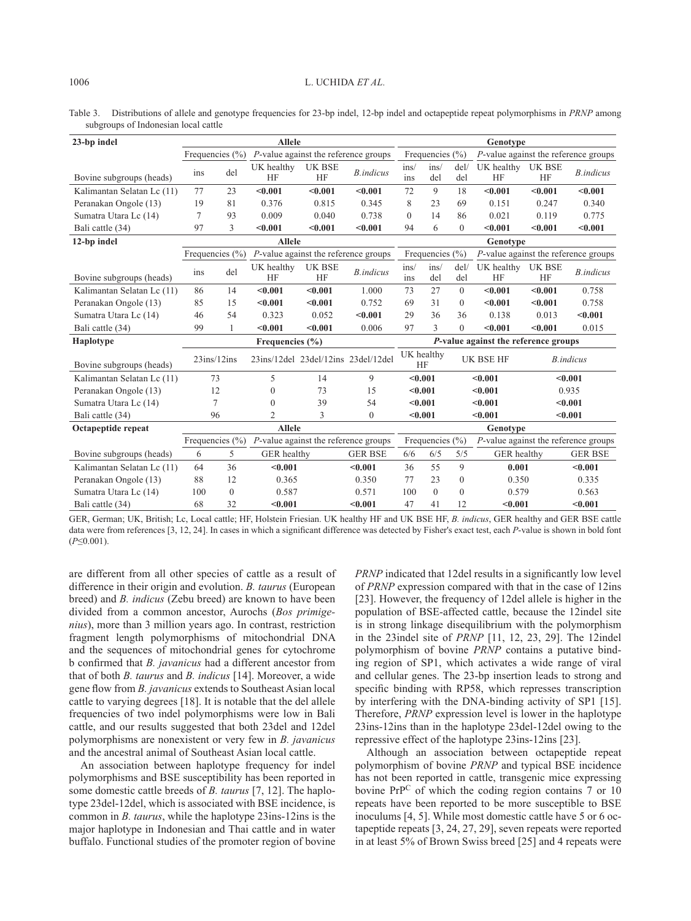Table 3. Distributions of allele and genotype frequencies for 23-bp indel, 12-bp indel and octapeptide repeat polymorphisms in *PRNP* among subgroups of Indonesian local cattle

| 23-bp indel                | <b>Allele</b>       |                                                             |                                         |                            |                   |                         | Genotype                |                                      |                                         |                            |                   |  |  |
|----------------------------|---------------------|-------------------------------------------------------------|-----------------------------------------|----------------------------|-------------------|-------------------------|-------------------------|--------------------------------------|-----------------------------------------|----------------------------|-------------------|--|--|
|                            | Frequencies $(\% )$ |                                                             | $P$ -value against the reference groups |                            |                   | Frequencies $(\% )$     |                         |                                      | $P$ -value against the reference groups |                            |                   |  |  |
| Bovine subgroups (heads)   | ins                 | del                                                         | UK healthy<br><b>HF</b>                 | <b>UK BSE</b><br><b>HF</b> | <b>B.</b> indicus | ins/<br>ins             | ins/<br>del             | del/<br>del                          | UK healthy<br>HF                        | <b>UK BSE</b><br><b>HF</b> | <b>B.</b> indicus |  |  |
| Kalimantan Selatan Lc (11) | 77                  | 23                                                          | < 0.001                                 | < 0.001                    | < 0.001           | 72                      | 9                       | 18                                   | < 0.001                                 | < 0.001                    | < 0.001           |  |  |
| Peranakan Ongole (13)      | 19                  | 81                                                          | 0.376                                   | 0.815                      | 0.345             | 8                       | 23                      | 69                                   | 0.151                                   | 0.247                      | 0.340             |  |  |
| Sumatra Utara Lc (14)      | 7                   | 93                                                          | 0.009                                   | 0.040                      | 0.738             | $\theta$                | 14                      | 86                                   | 0.021                                   | 0.119                      | 0.775             |  |  |
| Bali cattle (34)           | 97                  | 3                                                           | < 0.001                                 | < 0.001                    | < 0.001           | 94                      | 6                       | $\theta$                             | < 0.001                                 | < 0.001                    | < 0.001           |  |  |
| 12-bp indel                |                     |                                                             | <b>Allele</b>                           |                            |                   |                         |                         |                                      | Genotype                                |                            |                   |  |  |
|                            | Frequencies $(\% )$ |                                                             | P-value against the reference groups    |                            |                   | Frequencies $(\% )$     |                         |                                      | $P$ -value against the reference groups |                            |                   |  |  |
| Bovine subgroups (heads)   | ins                 | del                                                         | UK healthy<br><b>HF</b>                 | UK BSE<br><b>HF</b>        | <b>B.</b> indicus | ins/<br>1 <sub>ns</sub> | ins/<br>del             | del/<br>del                          | UK healthy<br><b>HF</b>                 | UK BSE<br><b>HF</b>        | <b>B</b> .indicus |  |  |
| Kalimantan Selatan Lc (11) | 86                  | 14                                                          | < 0.001                                 | < 0.001                    | 1.000             | 73                      | 27                      | $\theta$                             | < 0.001                                 | < 0.001                    | 0.758             |  |  |
| Peranakan Ongole (13)      | 85                  | 15                                                          | < 0.001                                 | < 0.001                    | 0.752             | 69                      | 31                      | $\Omega$                             | < 0.001                                 | < 0.001                    | 0.758             |  |  |
| Sumatra Utara Lc (14)      | 46                  | 54                                                          | 0.323                                   | 0.052                      | < 0.001           | 29                      | 36                      | 36                                   | 0.138                                   | 0.013                      | < 0.001           |  |  |
| Bali cattle (34)           | 99                  | 1                                                           | < 0.001                                 | < 0.001                    | 0.006             | 97                      | 3                       | $\theta$                             | < 0.001                                 | < 0.001                    | 0.015             |  |  |
| <b>Haplotype</b>           |                     |                                                             | Frequencies $(\% )$                     |                            |                   |                         |                         | P-value against the reference groups |                                         |                            |                   |  |  |
| Bovine subgroups (heads)   | $23$ ins/ $12$ ins  |                                                             | 23ins/12del 23del/12ins 23del/12del     |                            |                   |                         | UK healthy<br><b>HF</b> |                                      | <b>UK BSE HF</b><br><b>B</b> .indicus   |                            |                   |  |  |
| Kalimantan Selatan Lc (11) | 73                  |                                                             | 5                                       | 14                         | 9                 |                         | < 0.001                 |                                      | < 0.001                                 |                            | < 0.001           |  |  |
| Peranakan Ongole (13)      | 12                  |                                                             | $\theta$                                | 73                         | 15                |                         | < 0.001                 |                                      | < 0.001                                 |                            | 0.935             |  |  |
| Sumatra Utara Lc (14)      | 7                   |                                                             | $\theta$                                | 39                         | 54                |                         | < 0.001                 |                                      | < 0.001                                 | < 0.001                    |                   |  |  |
| Bali cattle (34)           | 96                  |                                                             | $\overline{2}$                          | 3                          | $\theta$          |                         | < 0.001                 | < 0.001                              |                                         | < 0.001                    |                   |  |  |
| Octapeptide repeat         | <b>Allele</b>       |                                                             |                                         |                            |                   |                         | Genotype                |                                      |                                         |                            |                   |  |  |
|                            |                     | Frequencies $(\% )$<br>P-value against the reference groups |                                         |                            |                   | Frequencies $(\% )$     |                         |                                      | $P$ -value against the reference groups |                            |                   |  |  |
| Bovine subgroups (heads)   | 6                   | 5                                                           | GER healthy                             |                            | <b>GER BSE</b>    | 6/6                     | 6/5                     | 5/5                                  | GER healthy                             |                            | <b>GER BSE</b>    |  |  |
| Kalimantan Selatan Lc (11) | 64                  | 36                                                          | < 0.001                                 |                            | < 0.001           | 36                      | 55                      | 9                                    | 0.001                                   |                            | < 0.001           |  |  |
| Peranakan Ongole (13)      | 88                  | 12                                                          | 0.365                                   |                            | 0.350             | 77                      | 23                      | $\Omega$                             |                                         | 0.350                      |                   |  |  |
| Sumatra Utara Lc (14)      | 100                 | $\mathbf{0}$                                                | 0.587                                   |                            | 0.571             | 100                     | $\theta$                | $\Omega$                             | 0.579                                   |                            | 0.563             |  |  |
| Bali cattle (34)           | 68                  | 32                                                          | < 0.001                                 |                            | < 0.001           | 47                      | 41                      | 12                                   | < 0.001                                 |                            | < 0.001           |  |  |

GER, German; UK, British; Lc, Local cattle; HF, Holstein Friesian. UK healthy HF and UK BSE HF, *B. indicus*, GER healthy and GER BSE cattle data were from references [3, 12, 24]. In cases in which a significant difference was detected by Fisher's exact test, each *P*-value is shown in bold font (*P*≤0.001).

are different from all other species of cattle as a result of difference in their origin and evolution. *B. taurus* (European breed) and *B. indicus* (Zebu breed) are known to have been divided from a common ancestor, Aurochs (*Bos primigenius*), more than 3 million years ago. In contrast, restriction fragment length polymorphisms of mitochondrial DNA and the sequences of mitochondrial genes for cytochrome b confirmed that *B. javanicus* had a different ancestor from that of both *B. taurus* and *B. indicus* [14]. Moreover, a wide gene flow from *B. javanicus* extends to Southeast Asian local cattle to varying degrees [18]. It is notable that the del allele frequencies of two indel polymorphisms were low in Bali cattle, and our results suggested that both 23del and 12del polymorphisms are nonexistent or very few in *B. javanicus* and the ancestral animal of Southeast Asian local cattle.

An association between haplotype frequency for indel polymorphisms and BSE susceptibility has been reported in some domestic cattle breeds of *B. taurus* [7, 12]. The haplotype 23del-12del, which is associated with BSE incidence, is common in *B. taurus*, while the haplotype 23ins-12ins is the major haplotype in Indonesian and Thai cattle and in water buffalo. Functional studies of the promoter region of bovine

*PRNP* indicated that 12del results in a significantly low level of *PRNP* expression compared with that in the case of 12ins [23]. However, the frequency of 12del allele is higher in the population of BSE-affected cattle, because the 12indel site is in strong linkage disequilibrium with the polymorphism in the 23indel site of *PRNP* [11, 12, 23, 29]. The 12indel polymorphism of bovine *PRNP* contains a putative binding region of SP1, which activates a wide range of viral and cellular genes. The 23-bp insertion leads to strong and specific binding with RP58, which represses transcription by interfering with the DNA-binding activity of SP1 [15]. Therefore, *PRNP* expression level is lower in the haplotype 23ins-12ins than in the haplotype 23del-12del owing to the repressive effect of the haplotype 23ins-12ins [23].

Although an association between octapeptide repeat polymorphism of bovine *PRNP* and typical BSE incidence has not been reported in cattle, transgenic mice expressing bovine PrPC of which the coding region contains 7 or 10 repeats have been reported to be more susceptible to BSE inoculums [4, 5]. While most domestic cattle have 5 or 6 octapeptide repeats [3, 24, 27, 29], seven repeats were reported in at least 5% of Brown Swiss breed [25] and 4 repeats were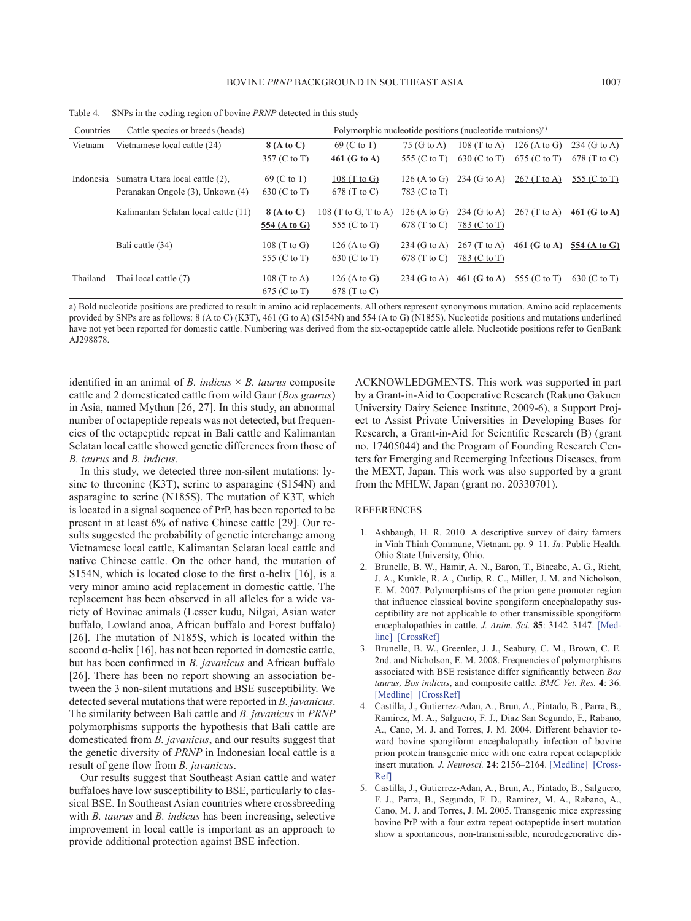| Countries | Cattle species or breeds (heads)     | Polymorphic nucleotide positions (nucleotide mutaions) <sup>a)</sup> |                      |                |                |                |                |  |
|-----------|--------------------------------------|----------------------------------------------------------------------|----------------------|----------------|----------------|----------------|----------------|--|
| Vietnam   | Vietnamese local cattle (24)         | 8 (A to C)                                                           | 69 (C to T)          | 75 (G to A)    | $108$ (T to A) | $126$ (A to G) | $234$ (G to A) |  |
|           |                                      | 357 (C to T)                                                         | 461 (G to A)         | 555 (C to T)   | 630 (C to T)   | $675$ (C to T) | 678 (T to C)   |  |
| Indonesia | Sumatra Utara local cattle (2).      | 69 (C to T)                                                          | $108$ (T to G)       | $126$ (A to G) | $234$ (G to A) | $267$ (T to A) | 555 (C to T)   |  |
|           | Peranakan Ongole (3), Unkown (4)     | 630 (C to T)                                                         | 678 (T to C)         | 783 (C to T)   |                |                |                |  |
|           | Kalimantan Selatan local cattle (11) | 8 (A to C)                                                           | 108 (T to G, T to A) | $126$ (A to G) | $234$ (G to A) | $267$ (T to A) | 461 (G to A)   |  |
|           |                                      | 554 (A to G)                                                         | 555 (C to T)         | $678$ (T to C) | 783 (C to T)   |                |                |  |
|           | Bali cattle (34)                     | $108$ (T to G)                                                       | $126$ (A to G)       | $234$ (G to A) | $267$ (T to A) | $461$ (G to A) | 554 (A to G)   |  |
|           |                                      | 555 (C to T)                                                         | 630 (C to T)         | 678 (T to C)   | 783 (C to T)   |                |                |  |
| Thailand  | Thai local cattle (7)                | $108$ (T to A)                                                       | $126$ (A to G)       | $234$ (G to A) | 461 (G to A)   | 555 (C to T)   | 630 (C to T)   |  |
|           |                                      | $675$ (C to T)                                                       | 678 (T to C)         |                |                |                |                |  |

Table 4. SNPs in the coding region of bovine *PRNP* detected in this study

a) Bold nucleotide positions are predicted to result in amino acid replacements. All others represent synonymous mutation. Amino acid replacements provided by SNPs are as follows: 8 (A to C) (K3T), 461 (G to A) (S154N) and 554 (A to G) (N185S). Nucleotide positions and mutations underlined have not yet been reported for domestic cattle. Numbering was derived from the six-octapeptide cattle allele. Nucleotide positions refer to GenBank AJ298878

identified in an animal of *B. indicus*  $\times$  *B. taurus* composite cattle and 2 domesticated cattle from wild Gaur (*Bos gaurus*) in Asia, named Mythun [26, 27]. In this study, an abnormal number of octapeptide repeats was not detected, but frequencies of the octapeptide repeat in Bali cattle and Kalimantan Selatan local cattle showed genetic differences from those of *B. taurus* and *B. indicus*.

In this study, we detected three non-silent mutations: lysine to threonine (K3T), serine to asparagine (S154N) and asparagine to serine (N185S). The mutation of K3T, which is located in a signal sequence of PrP, has been reported to be present in at least 6% of native Chinese cattle [29]. Our results suggested the probability of genetic interchange among Vietnamese local cattle, Kalimantan Selatan local cattle and native Chinese cattle. On the other hand, the mutation of S154N, which is located close to the first  $\alpha$ -helix [16], is a very minor amino acid replacement in domestic cattle. The replacement has been observed in all alleles for a wide variety of Bovinae animals (Lesser kudu, Nilgai, Asian water buffalo, Lowland anoa, African buffalo and Forest buffalo) [26]. The mutation of N185S, which is located within the second  $\alpha$ -helix [16], has not been reported in domestic cattle, but has been confirmed in *B. javanicus* and African buffalo [26]. There has been no report showing an association between the 3 non-silent mutations and BSE susceptibility. We detected several mutations that were reported in *B. javanicus*. The similarity between Bali cattle and *B. javanicus* in *PRNP* polymorphisms supports the hypothesis that Bali cattle are domesticated from *B. javanicus*, and our results suggest that the genetic diversity of *PRNP* in Indonesian local cattle is a result of gene flow from *B. javanicus*.

Our results suggest that Southeast Asian cattle and water buffaloes have low susceptibility to BSE, particularly to classical BSE. In Southeast Asian countries where crossbreeding with *B. taurus* and *B. indicus* has been increasing, selective improvement in local cattle is important as an approach to provide additional protection against BSE infection.

ACKNOWLEDGMENTS. This work was supported in part by a Grant-in-Aid to Cooperative Research (Rakuno Gakuen University Dairy Science Institute, 2009-6), a Support Project to Assist Private Universities in Developing Bases for Research, a Grant-in-Aid for Scientific Research (B) (grant no. 17405044) and the Program of Founding Research Centers for Emerging and Reemerging Infectious Diseases, from the MEXT, Japan. This work was also supported by a grant from the MHLW, Japan (grant no. 20330701).

### REFERENCES

- 1. Ashbaugh, H. R. 2010. A descriptive survey of dairy farmers in Vinh Thinh Commune, Vietnam. pp. 9–11. *In*: Public Health. Ohio State University, Ohio.
- 2. Brunelle, B. W., Hamir, A. N., Baron, T., Biacabe, A. G., Richt, J. A., Kunkle, R. A., Cutlip, R. C., Miller, J. M. and Nicholson, E. M. 2007. Polymorphisms of the prion gene promoter region that influence classical bovine spongiform encephalopathy susceptibility are not applicable to other transmissible spongiform encephalopathies in cattle. *J. Anim. Sci.* **85**: 3142–3147. [Medline] [CrossRef]
- 3. Brunelle, B. W., Greenlee, J. J., Seabury, C. M., Brown, C. E. 2nd. and Nicholson, E. M. 2008. Frequencies of polymorphisms associated with BSE resistance differ significantly between *Bos taurus, Bos indicus*, and composite cattle. *BMC Vet. Res.* **4**: 36. [Medline] [CrossRef]
- 4. Castilla, J., Gutierrez-Adan, A., Brun, A., Pintado, B., Parra, B., Ramirez, M. A., Salguero, F. J., Diaz San Segundo, F., Rabano, A., Cano, M. J. and Torres, J. M. 2004. Different behavior toward bovine spongiform encephalopathy infection of bovine prion protein transgenic mice with one extra repeat octapeptide insert mutation. *J. Neurosci.* **24**: 2156–2164. [Medline] [Cross-Ref]
- 5. Castilla, J., Gutierrez-Adan, A., Brun, A., Pintado, B., Salguero, F. J., Parra, B., Segundo, F. D., Ramirez, M. A., Rabano, A., Cano, M. J. and Torres, J. M. 2005. Transgenic mice expressing bovine PrP with a four extra repeat octapeptide insert mutation show a spontaneous, non-transmissible, neurodegenerative dis-